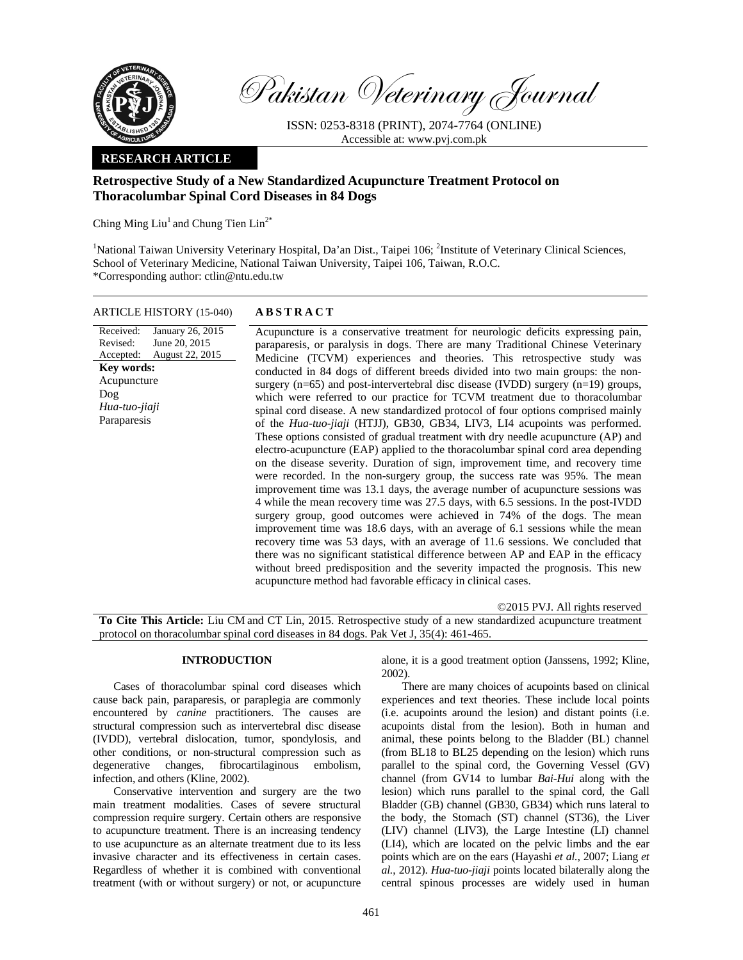

Pakistan Veterinary Journal

ISSN: 0253-8318 (PRINT), 2074-7764 (ONLINE) Accessible at: www.pvj.com.pk

## **RESEARCH ARTICLE**

# **Retrospective Study of a New Standardized Acupuncture Treatment Protocol on Thoracolumbar Spinal Cord Diseases in 84 Dogs**

Ching Ming  $\text{Liu}^1$  and Chung Tien  $\text{Lin}^{2^*}$ 

<sup>1</sup>National Taiwan University Veterinary Hospital, Da'an Dist., Taipei 106; <sup>2</sup>Institute of Veterinary Clinical Sciences, School of Veterinary Medicine, National Taiwan University, Taipei 106, Taiwan, R.O.C. \*Corresponding author: ctlin@ntu.edu.tw

#### ARTICLE HISTORY (15-040) **ABSTRACT**

Received: Revised: Accepted: January 26, 2015 June 20, 2015 August 22, 2015 **Key words:**  Acupuncture Dog *Hua-tuo-jiaji*  Paraparesis

 Acupuncture is a conservative treatment for neurologic deficits expressing pain, paraparesis, or paralysis in dogs. There are many Traditional Chinese Veterinary Medicine (TCVM) experiences and theories. This retrospective study was conducted in 84 dogs of different breeds divided into two main groups: the nonsurgery  $(n=65)$  and post-intervertebral disc disease (IVDD) surgery  $(n=19)$  groups, which were referred to our practice for TCVM treatment due to thoracolumbar spinal cord disease. A new standardized protocol of four options comprised mainly of the *Hua-tuo-jiaji* (HTJJ), GB30, GB34, LIV3, LI4 acupoints was performed. These options consisted of gradual treatment with dry needle acupuncture (AP) and electro-acupuncture (EAP) applied to the thoracolumbar spinal cord area depending on the disease severity. Duration of sign, improvement time, and recovery time were recorded. In the non-surgery group, the success rate was 95%. The mean improvement time was 13.1 days, the average number of acupuncture sessions was 4 while the mean recovery time was 27.5 days, with 6.5 sessions. In the post-IVDD surgery group, good outcomes were achieved in 74% of the dogs. The mean improvement time was 18.6 days, with an average of 6.1 sessions while the mean recovery time was 53 days, with an average of 11.6 sessions. We concluded that there was no significant statistical difference between AP and EAP in the efficacy without breed predisposition and the severity impacted the prognosis. This new acupuncture method had favorable efficacy in clinical cases.

©2015 PVJ. All rights reserved

**To Cite This Article:** Liu CM and CT Lin, 2015. Retrospective study of a new standardized acupuncture treatment protocol on thoracolumbar spinal cord diseases in 84 dogs. Pak Vet J, 35(4): 461-465.

## **INTRODUCTION**

Cases of thoracolumbar spinal cord diseases which cause back pain, paraparesis, or paraplegia are commonly encountered by *canine* practitioners. The causes are structural compression such as intervertebral disc disease (IVDD), vertebral dislocation, tumor, spondylosis, and other conditions, or non-structural compression such as degenerative changes, fibrocartilaginous embolism, infection, and others (Kline, 2002).

Conservative intervention and surgery are the two main treatment modalities. Cases of severe structural compression require surgery. Certain others are responsive to acupuncture treatment. There is an increasing tendency to use acupuncture as an alternate treatment due to its less invasive character and its effectiveness in certain cases. Regardless of whether it is combined with conventional treatment (with or without surgery) or not, or acupuncture

alone, it is a good treatment option (Janssens, 1992; Kline, 2002).

There are many choices of acupoints based on clinical experiences and text theories. These include local points (i.e. acupoints around the lesion) and distant points (i.e. acupoints distal from the lesion). Both in human and animal, these points belong to the Bladder (BL) channel (from BL18 to BL25 depending on the lesion) which runs parallel to the spinal cord, the Governing Vessel (GV) channel (from GV14 to lumbar *Bai-Hui* along with the lesion) which runs parallel to the spinal cord, the Gall Bladder (GB) channel (GB30, GB34) which runs lateral to the body, the Stomach (ST) channel (ST36), the Liver (LIV) channel (LIV3), the Large Intestine (LI) channel (LI4), which are located on the pelvic limbs and the ear points which are on the ears (Hayashi *et al.*, 2007; Liang *et al.*, 2012). *Hua-tuo-jiaji* points located bilaterally along the central spinous processes are widely used in human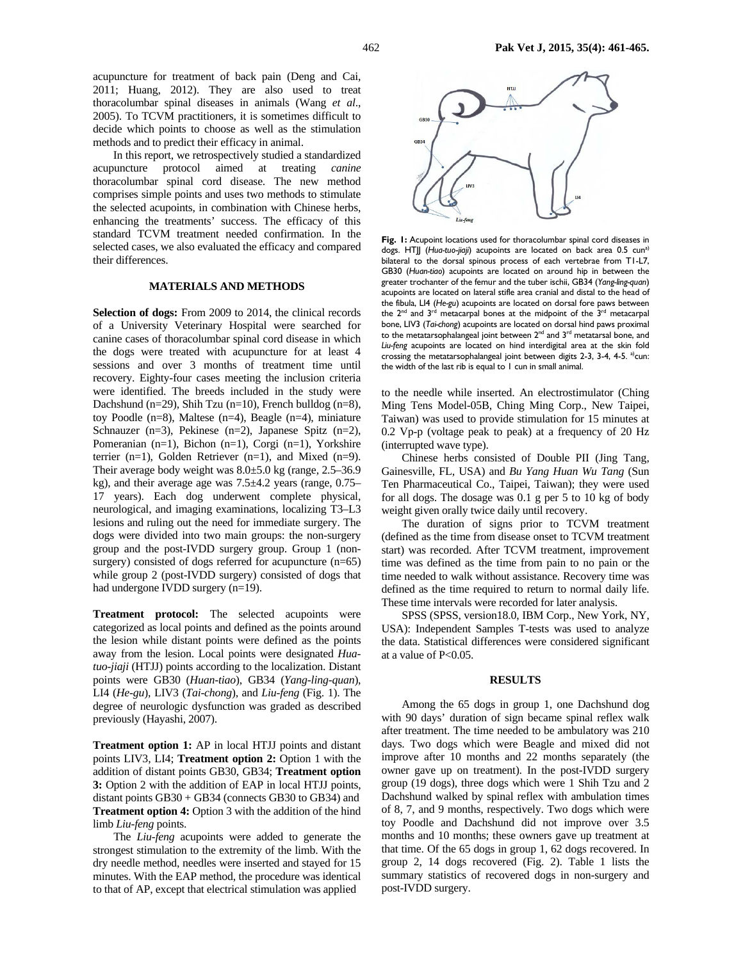acupuncture for treatment of back pain (Deng and Cai, 2011; Huang, 2012). They are also used to treat thoracolumbar spinal diseases in animals (Wang *et al*., 2005). To TCVM practitioners, it is sometimes difficult to decide which points to choose as well as the stimulation methods and to predict their efficacy in animal.

In this report, we retrospectively studied a standardized acupuncture protocol aimed at treating *canine* thoracolumbar spinal cord disease. The new method comprises simple points and uses two methods to stimulate the selected acupoints, in combination with Chinese herbs, enhancing the treatments' success. The efficacy of this standard TCVM treatment needed confirmation. In the selected cases, we also evaluated the efficacy and compared their differences.

### **MATERIALS AND METHODS**

**Selection of dogs:** From 2009 to 2014, the clinical records of a University Veterinary Hospital were searched for canine cases of thoracolumbar spinal cord disease in which the dogs were treated with acupuncture for at least 4 sessions and over 3 months of treatment time until recovery. Eighty-four cases meeting the inclusion criteria were identified. The breeds included in the study were Dachshund (n=29), Shih Tzu (n=10), French bulldog (n=8), toy Poodle (n=8), Maltese (n=4), Beagle (n=4), miniature Schnauzer (n=3), Pekinese (n=2), Japanese Spitz (n=2), Pomeranian (n=1), Bichon (n=1), Corgi (n=1), Yorkshire terrier (n=1), Golden Retriever (n=1), and Mixed (n=9). Their average body weight was 8.0±5.0 kg (range, 2.5–36.9 kg), and their average age was 7.5±4.2 years (range, 0.75– 17 years). Each dog underwent complete physical, neurological, and imaging examinations, localizing T3–L3 lesions and ruling out the need for immediate surgery. The dogs were divided into two main groups: the non-surgery group and the post-IVDD surgery group. Group 1 (nonsurgery) consisted of dogs referred for acupuncture  $(n=65)$ while group 2 (post-IVDD surgery) consisted of dogs that had undergone IVDD surgery (n=19).

**Treatment protocol:** The selected acupoints were categorized as local points and defined as the points around the lesion while distant points were defined as the points away from the lesion. Local points were designated *Huatuo*-*jiaji* (HTJJ) points according to the localization. Distant points were GB30 (*Huan-tiao*), GB34 (*Yang-ling-quan*), LI4 (*He-gu*), LIV3 (*Tai-chong*), and *Liu-feng* (Fig. 1). The degree of neurologic dysfunction was graded as described previously (Hayashi, 2007).

**Treatment option 1:** AP in local HTJJ points and distant points LIV3, LI4; **Treatment option 2:** Option 1 with the addition of distant points GB30, GB34; **Treatment option 3:** Option 2 with the addition of EAP in local HTJJ points, distant points GB30 + GB34 (connects GB30 to GB34) and **Treatment option 4:** Option 3 with the addition of the hind limb *Liu-feng* points.

The *Liu-feng* acupoints were added to generate the strongest stimulation to the extremity of the limb. With the dry needle method, needles were inserted and stayed for 15 minutes. With the EAP method, the procedure was identical to that of AP, except that electrical stimulation was applied



Fig. 1: Acupoint locations used for thoracolumbar spinal cord diseases in dogs. HTJJ (*Hua-tuo*-*jiaji*) acupoints are located on back area 0.5 cuna) bilateral to the dorsal spinous process of each vertebrae from T1-L7, GB30 (*Huan-tiao*) acupoints are located on around hip in between the greater trochanter of the femur and the tuber ischii, GB34 (*Yang-ling-quan*) acupoints are located on lateral stifle area cranial and distal to the head of the fibula, LI4 (*He-gu*) acupoints are located on dorsal fore paws between the  $2^{nd}$  and  $3^{rd}$  metacarpal bones at the midpoint of the  $3^{rd}$  metacarpal bone, LIV3 (*Tai-chong*) acupoints are located on dorsal hind paws proximal to the metatarsophalangeal joint between  $2<sup>nd</sup>$  and  $3<sup>rd</sup>$  metatarsal bone, and *Liu-feng* acupoints are located on hind interdigital area at the skin fold crossing the metatarsophalangeal joint between digits  $2-3$ ,  $3-4$ ,  $4-5$ . <sup>a)</sup>cun: the width of the last rib is equal to 1 cun in small animal.

to the needle while inserted. An electrostimulator (Ching Ming Tens Model-05B, Ching Ming Corp., New Taipei, Taiwan) was used to provide stimulation for 15 minutes at 0.2 Vp-p (voltage peak to peak) at a frequency of 20 Hz (interrupted wave type).

Chinese herbs consisted of Double PII (Jing Tang, Gainesville, FL, USA) and *Bu Yang Huan Wu Tang* (Sun Ten Pharmaceutical Co., Taipei, Taiwan); they were used for all dogs. The dosage was 0.1 g per 5 to 10 kg of body weight given orally twice daily until recovery.

The duration of signs prior to TCVM treatment (defined as the time from disease onset to TCVM treatment start) was recorded. After TCVM treatment, improvement time was defined as the time from pain to no pain or the time needed to walk without assistance. Recovery time was defined as the time required to return to normal daily life. These time intervals were recorded for later analysis.

SPSS (SPSS, version18.0, IBM Corp., New York, NY, USA): Independent Samples T-tests was used to analyze the data. Statistical differences were considered significant at a value of P<0.05.

### **RESULTS**

Among the 65 dogs in group 1, one Dachshund dog with 90 days' duration of sign became spinal reflex walk after treatment. The time needed to be ambulatory was 210 days. Two dogs which were Beagle and mixed did not improve after 10 months and 22 months separately (the owner gave up on treatment). In the post-IVDD surgery group (19 dogs), three dogs which were 1 Shih Tzu and 2 Dachshund walked by spinal reflex with ambulation times of 8, 7, and 9 months, respectively. Two dogs which were toy Poodle and Dachshund did not improve over 3.5 months and 10 months; these owners gave up treatment at that time. Of the 65 dogs in group 1, 62 dogs recovered. In group 2, 14 dogs recovered (Fig. 2). Table 1 lists the summary statistics of recovered dogs in non-surgery and post-IVDD surgery.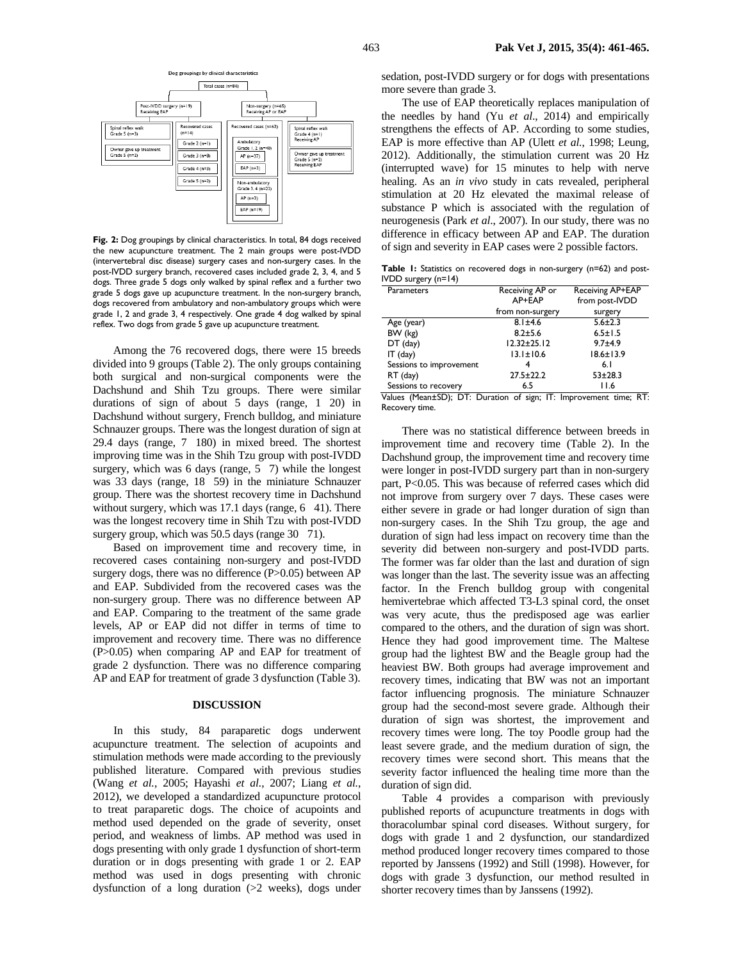

**Fig. 2:** Dog groupings by clinical characteristics. In total, 84 dogs received the new acupuncture treatment. The 2 main groups were post-IVDD (intervertebral disc disease) surgery cases and non-surgery cases. In the post-IVDD surgery branch, recovered cases included grade 2, 3, 4, and 5 dogs. Three grade 5 dogs only walked by spinal reflex and a further two grade 5 dogs gave up acupuncture treatment. In the non-surgery branch, dogs recovered from ambulatory and non-ambulatory groups which were grade 1, 2 and grade 3, 4 respectively. One grade 4 dog walked by spinal reflex. Two dogs from grade 5 gave up acupuncture treatment.

Among the 76 recovered dogs, there were 15 breeds divided into 9 groups (Table 2). The only groups containing both surgical and non-surgical components were the Dachshund and Shih Tzu groups. There were similar durations of sign of about  $5$  days (range,  $1, 20$ ) in Dachshund without surgery, French bulldog, and miniature Schnauzer groups. There was the longest duration of sign at 29.4 days (range, 7180) in mixed breed. The shortest improving time was in the Shih Tzu group with post-IVDD surgery, which was  $6 \text{ days}$  (range,  $5 \text{ 7}$ ) while the longest was 33 days (range, 18 59) in the miniature Schnauzer group. There was the shortest recovery time in Dachshund without surgery, which was  $17.1$  days (range,  $6\quad 41$ ). There was the longest recovery time in Shih Tzu with post-IVDD surgery group, which was  $50.5$  days (range  $30$  71).

Based on improvement time and recovery time, in recovered cases containing non-surgery and post-IVDD surgery dogs, there was no difference (P>0.05) between AP and EAP. Subdivided from the recovered cases was the non-surgery group. There was no difference between AP and EAP. Comparing to the treatment of the same grade levels, AP or EAP did not differ in terms of time to improvement and recovery time. There was no difference (P>0.05) when comparing AP and EAP for treatment of grade 2 dysfunction. There was no difference comparing AP and EAP for treatment of grade 3 dysfunction (Table 3).

#### **DISCUSSION**

In this study, 84 paraparetic dogs underwent acupuncture treatment. The selection of acupoints and stimulation methods were made according to the previously published literature. Compared with previous studies (Wang *et al.*, 2005; Hayashi *et al.*, 2007; Liang *et al.*, 2012), we developed a standardized acupuncture protocol to treat paraparetic dogs. The choice of acupoints and method used depended on the grade of severity, onset period, and weakness of limbs. AP method was used in dogs presenting with only grade 1 dysfunction of short-term duration or in dogs presenting with grade 1 or 2. EAP method was used in dogs presenting with chronic dysfunction of a long duration (>2 weeks), dogs under

sedation, post-IVDD surgery or for dogs with presentations more severe than grade 3.

The use of EAP theoretically replaces manipulation of the needles by hand (Yu *et al*., 2014) and empirically strengthens the effects of AP. According to some studies, EAP is more effective than AP (Ulett *et al.*, 1998; Leung, 2012). Additionally, the stimulation current was 20 Hz (interrupted wave) for 15 minutes to help with nerve healing. As an *in vivo* study in cats revealed, peripheral stimulation at 20 Hz elevated the maximal release of substance P which is associated with the regulation of neurogenesis (Park *et al*., 2007). In our study, there was no difference in efficacy between AP and EAP. The duration of sign and severity in EAP cases were 2 possible factors.

**Table 1:** Statistics on recovered dogs in non-surgery (n=62) and post-IVDD surgery (n=14)

| Receiving AP or   | Receiving AP+EAP |  |  |
|-------------------|------------------|--|--|
| AP+EAP            | from post-IVDD   |  |  |
| from non-surgery  | surgery          |  |  |
| $8.1 \pm 4.6$     | $5.6 \pm 2.3$    |  |  |
| $8.2 + 5.6$       | $6.5 \pm 1.5$    |  |  |
| $12.32 \pm 25.12$ | $9.7 + 4.9$      |  |  |
| $13.1 \pm 10.6$   | $18.6 \pm 13.9$  |  |  |
|                   | 6.1              |  |  |
| $27.5 \pm 22.2$   | $53 + 28.3$      |  |  |
| 6.5               | 11.6             |  |  |
|                   |                  |  |  |

Values (Mean±SD); DT: Duration of sign; IT: Improvement time; RT: Recovery time.

There was no statistical difference between breeds in improvement time and recovery time (Table 2). In the Dachshund group, the improvement time and recovery time were longer in post-IVDD surgery part than in non-surgery part, P<0.05. This was because of referred cases which did not improve from surgery over 7 days. These cases were either severe in grade or had longer duration of sign than non-surgery cases. In the Shih Tzu group, the age and duration of sign had less impact on recovery time than the severity did between non-surgery and post-IVDD parts. The former was far older than the last and duration of sign was longer than the last. The severity issue was an affecting factor. In the French bulldog group with congenital hemivertebrae which affected T3-L3 spinal cord, the onset was very acute, thus the predisposed age was earlier compared to the others, and the duration of sign was short. Hence they had good improvement time. The Maltese group had the lightest BW and the Beagle group had the heaviest BW. Both groups had average improvement and recovery times, indicating that BW was not an important factor influencing prognosis. The miniature Schnauzer group had the second-most severe grade. Although their duration of sign was shortest, the improvement and recovery times were long. The toy Poodle group had the least severe grade, and the medium duration of sign, the recovery times were second short. This means that the severity factor influenced the healing time more than the duration of sign did.

Table 4 provides a comparison with previously published reports of acupuncture treatments in dogs with thoracolumbar spinal cord diseases. Without surgery, for dogs with grade 1 and 2 dysfunction, our standardized method produced longer recovery times compared to those reported by Janssens (1992) and Still (1998). However, for dogs with grade 3 dysfunction, our method resulted in shorter recovery times than by Janssens (1992).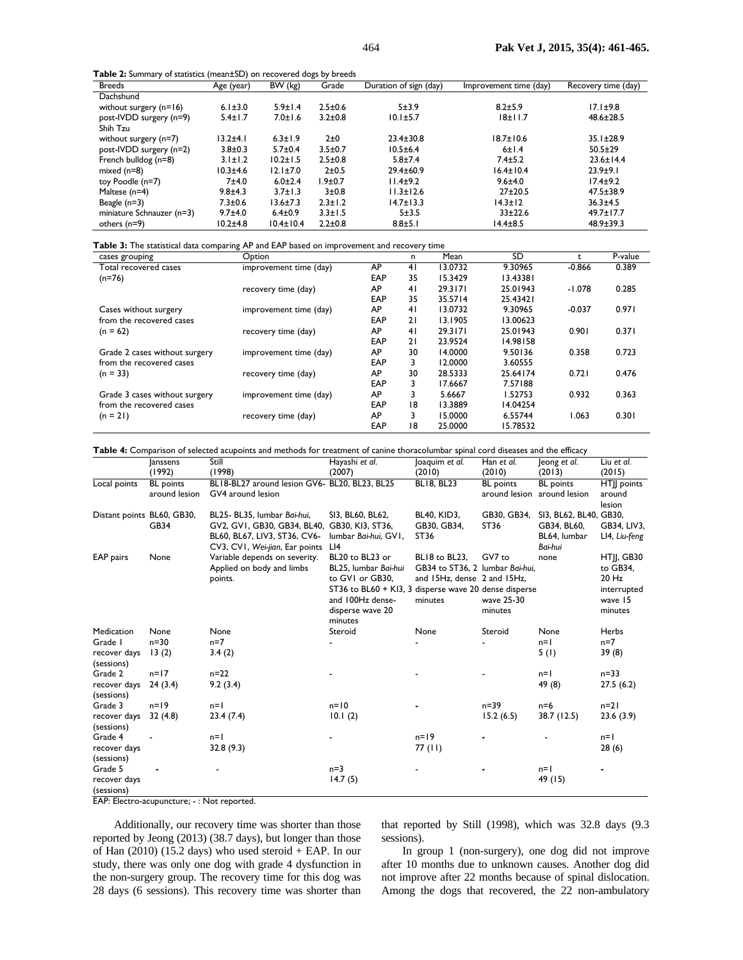**Table 2:** Summary of statistics (mean±SD) on recovered dogs by breeds

| <b>Breeds</b>             | Age (year)    | BW (kg)         | Grade         | Duration of sign (day) | Improvement time (day) | Recovery time (day) |
|---------------------------|---------------|-----------------|---------------|------------------------|------------------------|---------------------|
| Dachshund                 |               |                 |               |                        |                        |                     |
| without surgery $(n=16)$  | $6.1 \pm 3.0$ | $5.9 \pm 1.4$   | $2.5 \pm 0.6$ | $5 + 3.9$              | $8.2 + 5.9$            | $17.1 \pm 9.8$      |
| post-IVDD surgery (n=9)   | $5.4 \pm 1.7$ | $7.0 \pm 1.6$   | $3.2 \pm 0.8$ | $10.1 \pm 5.7$         | 18±11.7                | $48.6 \pm 28.5$     |
| Shih Tzu                  |               |                 |               |                        |                        |                     |
| without surgery (n=7)     | $13.2 + 4.1$  | $6.3 \pm 1.9$   | $2\pm0$       | $23.4 \pm 30.8$        | $18.7 \pm 10.6$        | $35.1 \pm 28.9$     |
| post-IVDD surgery (n=2)   | $3.8 + 0.3$   | $5.7 \pm 0.4$   | $3.5 \pm 0.7$ | $10.5 \pm 6.4$         | 6±1.4                  | $50.5 \pm 29$       |
| French bulldog (n=8)      | $3.1 \pm 1.2$ | $10.2 \pm 1.5$  | $2.5 \pm 0.8$ | $5.8 \pm 7.4$          | $7.4 \pm 5.2$          | $23.6 \pm 14.4$     |
| mixed $(n=8)$             | $10.3 + 4.6$  | $12.1 \pm 7.0$  | $2 + 0.5$     | $29.4 \pm 60.9$        | $16.4 \pm 10.4$        | $23.9 + 9.1$        |
| toy Poodle (n=7)          | 7±4.0         | $6.0 \pm 2.4$   | $.9 + 0.7$    | 11.4±9.2               | $9.6 + 4.0$            | $17.4 \pm 9.2$      |
| Maltese (n=4)             | $9.8 + 4.3$   | $3.7 \pm 1.3$   | $3 + 0.8$     | $11.3 \pm 12.6$        | $27 + 20.5$            | 47.5±38.9           |
| Beagle $(n=3)$            | $7.3 + 0.6$   | $13.6 \pm 7.3$  | $2.3 \pm 1.2$ | $14.7 \pm 13.3$        | 14.3±12                | $36.3 + 4.5$        |
| miniature Schnauzer (n=3) | $9.7 + 4.0$   | $6.4 \pm 0.9$   | $3.3 \pm 1.5$ | $5 + 3.5$              | $33+22.6$              | $49.7 \pm 17.7$     |
| others $(n=9)$            | $10.2 + 4.8$  | $10.4 \pm 10.4$ | $2.2 \pm 0.8$ | $8.8 + 5.1$            | 14.4±8.5               | 48.9±39.3           |

**Table 3:** The statistical data comparing AP and EAP based on improvement and recovery time

| cases grouping                | Option                 |            | n  | Mean    | SD       | t        | P-value |
|-------------------------------|------------------------|------------|----|---------|----------|----------|---------|
| Total recovered cases         | improvement time (day) | AP         | 41 | 13.0732 | 9.30965  | $-0.866$ | 0.389   |
| $(n=76)$                      |                        | EAP        | 35 | 15.3429 | 13.43381 |          |         |
|                               | recovery time (day)    | AP         | 41 | 29.3171 | 25.01943 | $-1.078$ | 0.285   |
|                               |                        | EAP        | 35 | 35.5714 | 25.43421 |          |         |
| Cases without surgery         | improvement time (day) | AP         | 41 | 13.0732 | 9.30965  | $-0.037$ | 0.971   |
| from the recovered cases      |                        | EAP        | 21 | 13.1905 | 13.00623 |          |         |
| $(n = 62)$                    | recovery time (day)    | AP         | 41 | 29.3171 | 25.01943 | 0.901    | 0.371   |
|                               |                        | <b>EAP</b> | 21 | 23.9524 | 14.98158 |          |         |
| Grade 2 cases without surgery | improvement time (day) | AP         | 30 | 14.0000 | 9.50136  | 0.358    | 0.723   |
| from the recovered cases      |                        | EAP        | 3  | 12.0000 | 3.60555  |          |         |
| $(n = 33)$                    | recovery time (day)    | AP         | 30 | 28.5333 | 25.64174 | 0.721    | 0.476   |
|                               |                        | EAP        | 3  | 17.6667 | 7.57188  |          |         |
| Grade 3 cases without surgery | improvement time (day) | AP         | 3  | 5.6667  | 1.52753  | 0.932    | 0.363   |
| from the recovered cases      |                        | EAP        | 18 | 13.3889 | 14.04254 |          |         |
| $(n = 21)$                    | recovery time (day)    | AP         | 3  | 15.0000 | 6.55744  | 1.063    | 0.301   |
|                               |                        | EAP        | 18 | 25.0000 | 15.78532 |          |         |

| Table 4: Comparison of selected acupoints and methods for treatment of canine thoracolumbar spinal cord diseases and the efficacy |
|-----------------------------------------------------------------------------------------------------------------------------------|
|-----------------------------------------------------------------------------------------------------------------------------------|

|                            | <b>Janssens</b>  | Still                                         | Hayashi et al.                                        | loaquim et al.                  | Han et al.                  | leong et al.           | Liu et al.    |
|----------------------------|------------------|-----------------------------------------------|-------------------------------------------------------|---------------------------------|-----------------------------|------------------------|---------------|
|                            | (1992)           | (1998)                                        | (2007)                                                | (2010)                          | (2010)                      | (2013)                 | (2015)        |
| Local points               | <b>BL</b> points | BL18-BL27 around lesion GV6- BL20, BL23, BL25 |                                                       | <b>BL18, BL23</b>               | <b>BL</b> points            | <b>BL</b> points       | HTJJ points   |
|                            | around lesion    | GV4 around lesion                             |                                                       |                                 | around lesion around lesion |                        | around        |
|                            |                  |                                               |                                                       |                                 |                             |                        | lesion        |
| Distant points BL60, GB30, |                  | BL25- BL35, lumbar Bai-hui,                   | SI3, BL60, BL62,                                      | <b>BL40, KID3,</b>              | GB30, GB34,                 | SI3, BL62, BL40, GB30, |               |
|                            | <b>GB34</b>      | GV2, GV1, GB30, GB34, BL40, GB30, KI3, ST36,  |                                                       | GB30, GB34,                     | ST36                        | GB34, BL60,            | GB34, LIV3,   |
|                            |                  | BL60, BL67, LIV3, ST36, CV6-                  | lumbar Bai-hui, GVI,                                  | ST36                            |                             | BL64, lumbar           | LI4, Liu-feng |
|                            |                  | CV3, CV1, Wei-jian, Ear points                | LI4                                                   |                                 |                             | Bai-hui                |               |
| EAP pairs                  | None             | Variable depends on severity.                 | BL20 to BL23 or                                       | BL18 to BL23,                   | GV7 to                      | none                   | HTJ, GB30     |
|                            |                  | Applied on body and limbs                     | BL25, lumbar Bai-hui                                  | GB34 to ST36, 2 lumbar Bai-hui, |                             |                        | to GB34,      |
|                            |                  | points.                                       | to GVI or GB30,                                       | and 15Hz, dense 2 and 15Hz,     |                             |                        | 20 Hz         |
|                            |                  |                                               | ST36 to BL60 + KI3, 3 disperse wave 20 dense disperse |                                 |                             |                        | interrupted   |
|                            |                  |                                               | and 100Hz dense-                                      | minutes                         | wave 25-30                  |                        | wave 15       |
|                            |                  |                                               | disperse wave 20                                      |                                 | minutes                     |                        | minutes       |
|                            |                  |                                               | minutes                                               |                                 |                             |                        |               |
| Medication                 | None             | None                                          | Steroid                                               | None                            | Steroid                     | None                   | Herbs         |
| Grade I                    | $n = 30$         | $n=7$                                         |                                                       |                                 |                             | $n=1$                  | $n=7$         |
| recover days               | 13(2)            | 3.4(2)                                        |                                                       |                                 |                             | 5(1)                   | 39(8)         |
| (sessions)                 |                  |                                               |                                                       |                                 |                             |                        |               |
| Grade 2                    | $n=17$           | $n=22$                                        |                                                       |                                 |                             | $n=1$                  | $n = 33$      |
| recover days               | 24(3.4)          | 9.2(3.4)                                      |                                                       |                                 |                             | 49 (8)                 | 27.5(6.2)     |
| (sessions)                 |                  |                                               |                                                       |                                 |                             |                        |               |
| Grade 3                    | $n = 19$         | $n=1$                                         | $n=10$                                                |                                 | $n = 39$                    | $n=6$                  | $n=21$        |
| recover days               | 32(4.8)          | 23.4(7.4)                                     | 10.1(2)                                               |                                 | 15.2(6.5)                   | 38.7 (12.5)            | 23.6(3.9)     |
| (sessions)                 |                  |                                               |                                                       |                                 |                             |                        |               |
| Grade 4                    |                  | $n=1$                                         |                                                       | $n=19$                          |                             |                        | $n=1$         |
| recover days               |                  | 32.8(9.3)                                     |                                                       | 77 (11)                         |                             |                        | 28(6)         |
| (sessions)                 |                  |                                               |                                                       |                                 |                             |                        |               |
| Grade 5                    |                  |                                               | $n=3$                                                 |                                 |                             | $n=1$                  |               |
| recover days               |                  |                                               | 14.7(5)                                               |                                 |                             | 49 (15)                |               |
| (sessions)                 |                  |                                               |                                                       |                                 |                             |                        |               |

EAP: Electro-acupuncture; - : Not reported.

Additionally, our recovery time was shorter than those reported by Jeong (2013) (38.7 days), but longer than those of Han (2010) (15.2 days) who used steroid + EAP. In our study, there was only one dog with grade 4 dysfunction in the non-surgery group. The recovery time for this dog was 28 days (6 sessions). This recovery time was shorter than

that reported by Still (1998), which was 32.8 days (9.3 sessions).

In group 1 (non-surgery), one dog did not improve after 10 months due to unknown causes. Another dog did not improve after 22 months because of spinal dislocation. Among the dogs that recovered, the 22 non-ambulatory